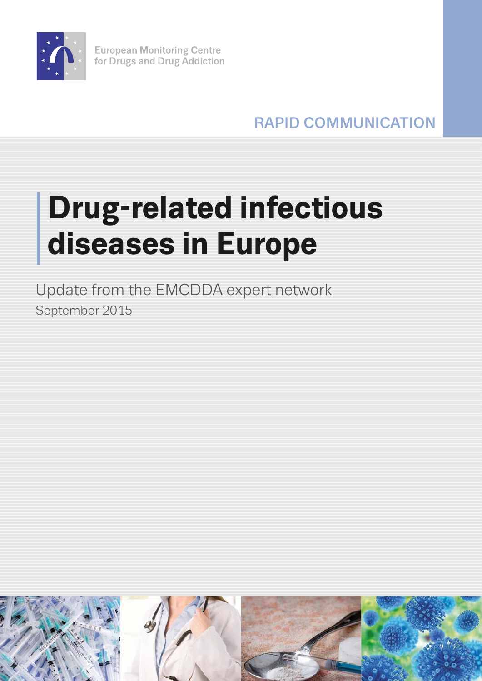

**European Monitoring Centre** for Drugs and Drug Addiction

RAPID COMMUNICATION

# **Drug-related infectious diseases in Europe**

Update from the EMCDDA expert network September 2015

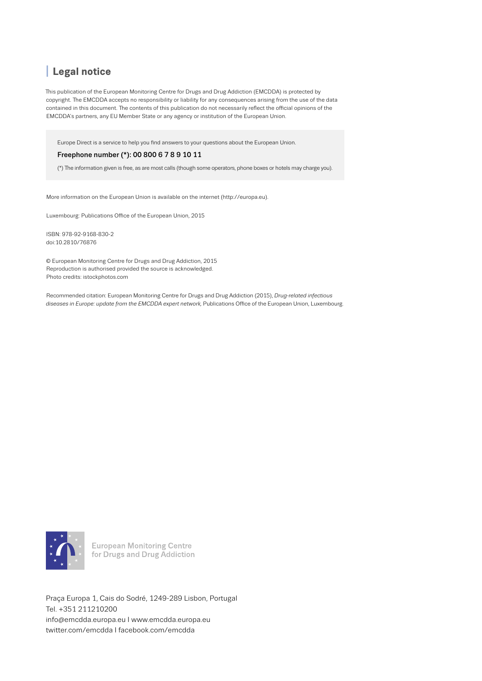# I **Legal notice**

This publication of the European Monitoring Centre for Drugs and Drug Addiction (EMCDDA) is protected by copyright. The EMCDDA accepts no responsibility or liability for any consequences arising from the use of the data contained in this document. The contents of this publication do not necessarily reflect the official opinions of the EMCDDA's partners, any EU Member State or any agency or institution of the European Union.

Europe Direct is a service to help you find answers to your questions about the European Union.

#### Freephone number (\*): 00 800 6 7 8 9 10 11

(\*) The information given is free, as are most calls (though some operators, phone boxes or hotels may charge you).

More information on the European Union is available on the internet (http://europa.eu).

Luxembourg: Publications Office of the European Union, 2015

ISBN: 978-92-9168-830-2 doi:10.2810/76876

© European Monitoring Centre for Drugs and Drug Addiction, 2015 Reproduction is authorised provided the source is acknowledged. Photo credits: istockphotos.com

Recommended citation: European Monitoring Centre for Drugs and Drug Addiction (2015), *Drug-related infectious diseases in Europe: update from the EMCDDA expert network,* Publications Office of the European Union, Luxembourg.



**European Monitoring Centre** for Drugs and Drug Addiction

Praça Europa 1, Cais do Sodré, 1249-289 Lisbon, Portugal Tel. +351 211210200 info@emcdda.europa.eu I [www.emcdda.europa.eu](http://www.emcdda.europa.eu) twitter.com/emcdda I facebook.com/emcdda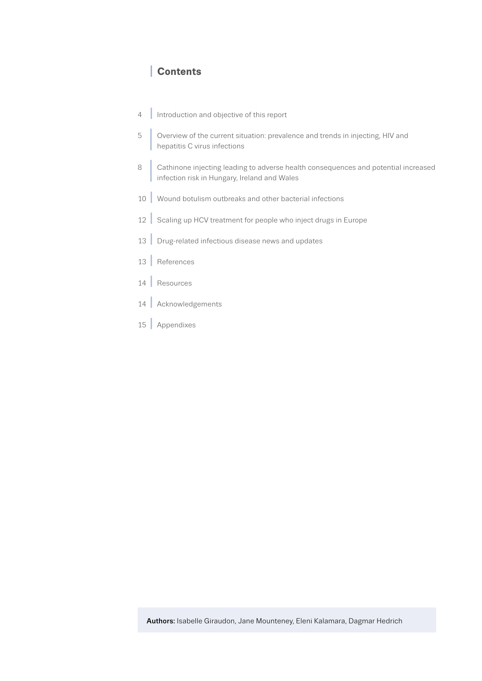## I **Contents**

- 4 [Introduction and objective of this report](#page-3-0)
- 5 I  [Overview of the current situation: prevalence and trends in injecting, HIV and](#page-4-0)  hepatitis C virus infections
- 8 I  [Cathinone injecting leading to adverse health consequences and potential increased](#page-7-0)  infection risk in Hungary, Ireland and Wales
- 10 | [Wound botulism outbreaks and other bacterial infections](#page-9-0)
- 12 [Scaling up HCV treatment for people who inject drugs in Europe](#page-11-0)
- 13 [Drug-related infectious disease news and updates](#page-12-0)
- <sup>13</sup> I [References](#page-12-0)
- 14 [Resources](#page-13-0)
- 14 [Acknowledgements](#page-13-0)
- 15 [Appendixes](#page-14-0)

Authors: Isabelle Giraudon, Jane Mounteney, Eleni Kalamara, Dagmar Hedrich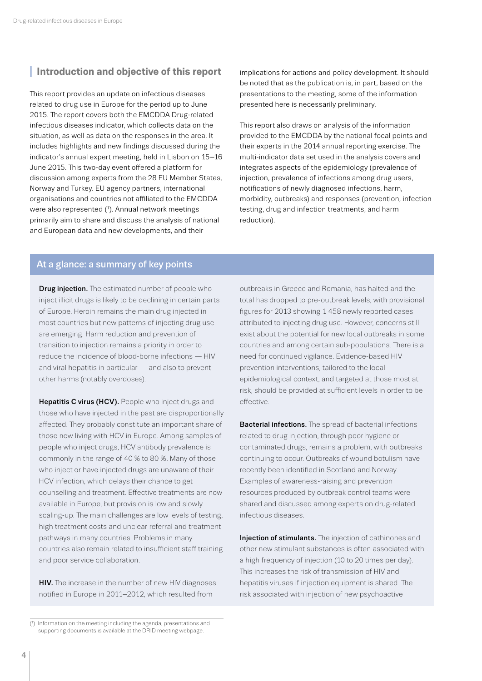# <span id="page-3-0"></span>**<sup>I</sup> Introduction and objective of this report**

This report provides an update on infectious diseases related to drug use in Europe for the period up to June 2015. The report covers both the EMCDDA Drug-related infectious diseases indicator, which collects data on the situation, as well as data on the responses in the area. It includes highlights and new findings discussed during the indicator's annual expert meeting, held in Lisbon on 15–16 June 2015. This two-day event offered a platform for discussion among experts from the 28 EU Member States, Norway and Turkey. EU agency partners, international organisations and countries not affiliated to the EMCDDA were also represented  $(1)$ . Annual network meetings primarily aim to share and discuss the analysis of national and [European data](http://projects.emcdda.europa.eu/attachements.cfm/att_219027_EN_02.%20JM%20-%20Overview%20of%20drug-induced%20deaths%20in%20Europe.pdf) and new developments, and their

implications for actions and policy development. It should be noted that as the publication is, in part, based on the presentations to the meeting, some of the information presented here is necessarily preliminary.

This report also draws on analysis of the information provided to the EMCDDA by the national focal points and their experts in the 2014 annual reporting exercise. The multi-indicator data set used in the analysis covers and integrates aspects of the epidemiology (prevalence of injection, prevalence of infections among drug users, notifications of newly diagnosed infections, harm, morbidity, outbreaks) and responses (prevention, infection testing, drug and infection treatments, and harm reduction).

## At a glance: a summary of key points

**Drug injection.** The estimated number of people who inject illicit drugs is likely to be declining in certain parts of Europe. Heroin remains the main drug injected in most countries but new patterns of injecting drug use are emerging. Harm reduction and prevention of transition to injection remains a priority in order to reduce the incidence of blood-borne infections — HIV and viral hepatitis in particular — and also to prevent other harms (notably overdoses).

Hepatitis C virus (HCV). People who inject drugs and those who have injected in the past are disproportionally affected. They probably constitute an important share of those now living with HCV in Europe. Among samples of people who inject drugs, HCV antibody prevalence is commonly in the range of 40 % to 80 %. Many of those who inject or have injected drugs are unaware of their HCV infection, which delays their chance to get counselling and treatment. Effective treatments are now available in Europe, but provision is low and slowly scaling-up. The main challenges are low levels of testing, high treatment costs and unclear referral and treatment pathways in many countries. Problems in many countries also remain related to insufficient staff training and poor service collaboration.

**HIV.** The increase in the number of new HIV diagnoses notified in Europe in 2011–2012, which resulted from

outbreaks in Greece and Romania, has halted and the total has dropped to pre-outbreak levels, with provisional figures for 2013 showing 1 458 newly reported cases attributed to injecting drug use. However, concerns still exist about the potential for new local outbreaks in some countries and among certain sub-populations. There is a need for continued vigilance. Evidence-based HIV prevention interventions, tailored to the local epidemiological context, and targeted at those most at risk, should be provided at sufficient levels in order to be effective.

Bacterial infections. The spread of bacterial infections related to drug injection, through poor hygiene or contaminated drugs, remains a problem, with outbreaks continuing to occur. Outbreaks of wound botulism have recently been identified in Scotland and Norway. Examples of awareness-raising and prevention resources produced by outbreak control teams were shared and discussed among experts on drug-related infectious diseases.

Injection of stimulants. The injection of cathinones and other new stimulant substances is often associated with a high frequency of injection (10 to 20 times per day). This increases the risk of transmission of HIV and hepatitis viruses if injection equipment is shared. The risk associated with injection of new psychoactive

<sup>(</sup> 1 ) Information on the meeting including the agenda, presentations and supporting documents is available at the DRID meeting [webpage](http://www.emcdda.europa.eu/expert-meetings/2015/drd-drid).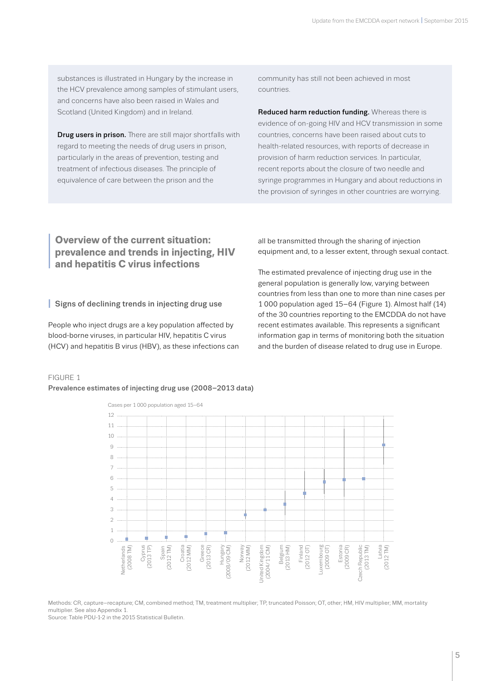<span id="page-4-0"></span>substances is illustrated in Hungary by the increase in the HCV prevalence among samples of stimulant users, and concerns have also been raised in Wales and Scotland (United Kingdom) and in Ireland.

**Drug users in prison.** There are still major shortfalls with regard to meeting the needs of drug users in prison, particularly in the areas of prevention, testing and treatment of infectious diseases. The principle of equivalence of care between the prison and the

community has still not been achieved in most countries.

Reduced harm reduction funding. Whereas there is evidence of on-going HIV and HCV transmission in some countries, concerns have been raised about cuts to health-related resources, with reports of decrease in provision of harm reduction services. In particular, recent reports about the closure of two needle and syringe programmes in Hungary and about reductions in the provision of syringes in other countries are worrying.

## **I** Overview of the current situation:<br>**Prevalence and trends in injecting**<br>and hepatitis C virus infections **prevalence and trends in injecting, HIV and hepatitis C virus infections**

#### **I** Signs of declining trends in injecting drug use

People who inject drugs are a key population affected by blood-borne viruses, in particular HIV, hepatitis C virus (HCV) and hepatitis B virus (HBV), as these infections can all be transmitted through the sharing of injection equipment and, to a lesser extent, through sexual contact.

The estimated prevalence of injecting drug use in the general population is generally low, varying between countries from less than one to more than nine cases per 1 000 population aged 15–64 (Figure 1). Almost half (14) of the 30 countries reporting to the EMCDDA do not have recent estimates available. This represents a significant information gap in terms of monitoring both the situation and the burden of disease related to drug use in Europe.

#### FIGURE 1

#### Prevalence estimates of injecting drug use (2008–2013 data)



Methods: CR, capture–recapture; CM, combined method; TM, treatment multiplier; TP, truncated Poisson; OT, other; HM, HIV multiplier; MM, mortality multiplier. See also Appendix 1. Source: Table PDU-1-2 in the 2015 Statistical Bulletin.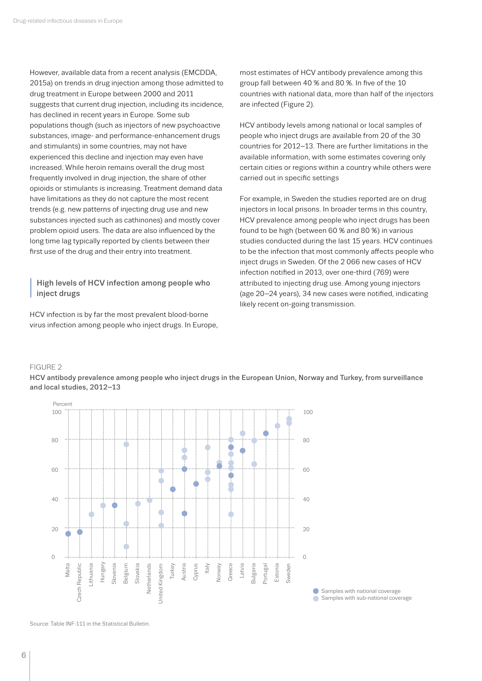However, available data from a recent analysis (EMCDDA, 2015a) on trends in drug injection among those admitted to drug treatment in Europe between 2000 and 2011 suggests that current drug injection, including its incidence, has declined in recent years in Europe. Some sub populations though (such as injectors of new psychoactive substances, image- and performance-enhancement drugs and stimulants) in some countries, may not have experienced this decline and injection may even have increased. While heroin remains overall the drug most frequently involved in drug injection, the share of other opioids or stimulants is increasing. Treatment demand data have limitations as they do not capture the most recent trends (e.g. new patterns of injecting drug use and new substances injected such as cathinones) and mostly cover problem opioid users. The data are also influenced by the long time lag typically reported by clients between their first use of the drug and their entry into treatment.

### **<sup>I</sup>** High levels of HCV infection among people who inject drugs

HCV infection is by far the most prevalent blood-borne virus infection among people who inject drugs. In Europe, most estimates of HCV antibody prevalence among this group fall between 40 % and 80 %. In five of the 10 countries with national data, more than half of the injectors are infected (Figure 2).

HCV antibody levels among national or local samples of people who inject drugs are available from 20 of the 30 countries for 2012–13. There are further limitations in the available information, with some estimates covering only certain cities or regions within a country while others were carried out in specific settings

For example, in Sweden the studies reported are on drug injectors in local prisons. In broader terms in this country, HCV prevalence among people who inject drugs has been found to be high (between 60 % and 80 %) in various studies conducted during the last 15 years. HCV continues to be the infection that most commonly affects people who inject drugs in Sweden. Of the 2 066 new cases of HCV infection notified in 2013, over one-third (769) were attributed to injecting drug use. Among young injectors (age 20–24 years), 34 new cases were notified, indicating likely recent on-going transmission.

#### FIGURE 2





**■ Samples with national coverage** Samples with sub-national coverage

Source: Table INF-111 in the Statistical Bulletin.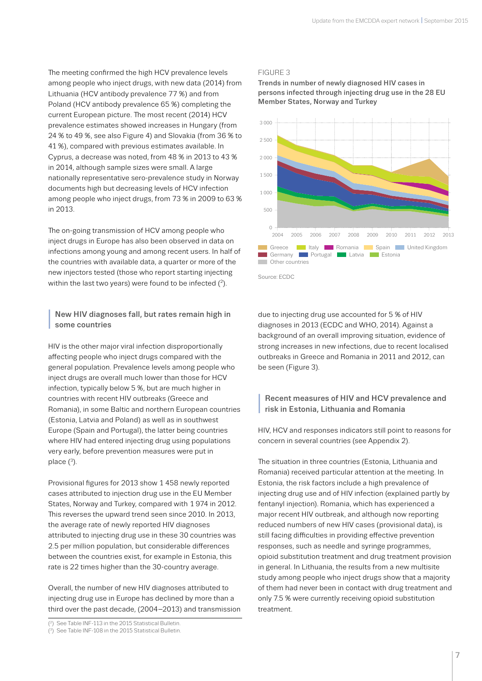The meeting confirmed the high HCV prevalence levels among people who inject drugs, with new data (2014) from Lithuania (HCV antibody prevalence 77 %) and from Poland (HCV antibody prevalence 65 %) completing the current European picture. The most recent (2014) HCV prevalence estimates showed increases in Hungary (from 24 % to 49 %, see also Figure 4) and Slovakia (from 36 % to 41 %), compared with previous estimates available. In Cyprus, a decrease was noted, from 48 % in 2013 to 43 % in 2014, although sample sizes were small. A large nationally representative sero-prevalence study in Norway documents high but decreasing levels of HCV infection among people who inject drugs, from 73 % in 2009 to 63 % in 2013.

The on-going transmission of HCV among people who inject drugs in Europe has also been observed in data on infections among young and among recent users. In half of the countries with available data, a quarter or more of the new injectors tested (those who report starting injecting within the last two years) were found to be infected  $(^2)$ .

#### **<sup>I</sup>** New HIV diagnoses fall, but rates remain high in some countries

HIV is the other major viral infection disproportionally affecting people who inject drugs compared with the general population. Prevalence levels among people who inject drugs are overall much lower than those for HCV infection, typically below 5 %, but are much higher in countries with recent HIV outbreaks (Greece and Romania), in some Baltic and northern European countries (Estonia, Latvia and Poland) as well as in southwest Europe (Spain and Portugal), the latter being countries where HIV had entered injecting drug using populations very early, before prevention measures were put in place  $(3)$ .

Provisional figures for 2013 show 1 458 newly reported cases attributed to injection drug use in the EU Member States, Norway and Turkey, compared with 1 974 in 2012. This reverses the upward trend seen since 2010. In 2013, the average rate of newly reported HIV diagnoses attributed to injecting drug use in these 30 countries was 2.5 per million population, but considerable differences between the countries exist, for example in Estonia, this rate is 22 times higher than the 30-country average.

Overall, the number of new HIV diagnoses attributed to injecting drug use in Europe has declined by more than a third over the past decade, (2004–2013) and transmission

#### FIGURE 3

Trends in number of newly diagnosed HIV cases in persons infected through injecting drug use in the 28 EU Member States, Norway and Turkey



due to injecting drug use accounted for 5 % of HIV diagnoses in 2013 (ECDC and WHO, 2014). Against a background of an overall improving situation, evidence of strong increases in new infections, due to recent localised

be seen (Figure 3).

#### **<sup>I</sup>** Recent measures of HIV and HCV prevalence and risk in Estonia, Lithuania and Romania

outbreaks in Greece and Romania in 2011 and 2012, can

HIV, HCV and responses indicators still point to reasons for concern in several countries (see Appendix 2).

The situation in three countries (Estonia, Lithuania and Romania) received particular attention at the meeting. In Estonia, the risk factors include a high prevalence of injecting drug use and of HIV infection (explained partly by fentanyl injection). Romania, which has experienced a major recent HIV outbreak, and although now reporting reduced numbers of new HIV cases (provisional data), is still facing difficulties in providing effective prevention responses, such as needle and syringe programmes, opioid substitution treatment and drug treatment provision in general. In Lithuania, the results from a new multisite study among people who inject drugs show that a majority of them had never been in contact with drug treatment and only 7.5 % were currently receiving opioid substitution treatment.

<sup>(</sup> 2) See Table INF-113 in the 2015 Statistical Bulletin.

<sup>(3)</sup> See Table INF-108 in the 2015 Statistical Bulletin.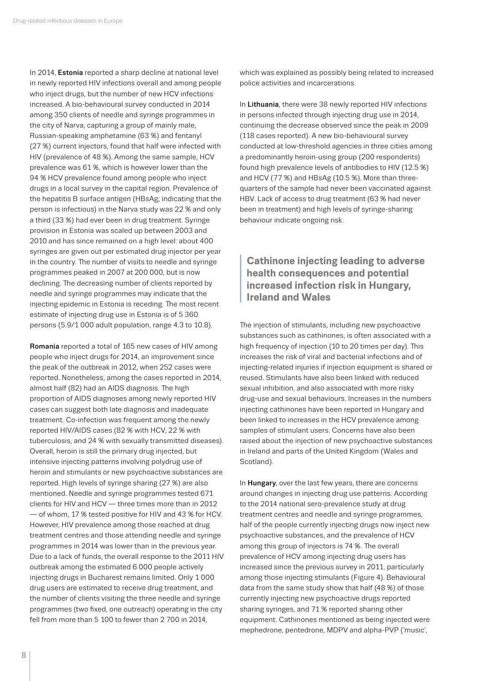<span id="page-7-0"></span>In 2014, Estonia reported a sharp decline at national level in newly reported HIV infections overall and among people who inject drugs, but the number of new HCV infections increased. A bio-behavioural survey conducted in 2014 among 350 clients of needle and syringe programmes in the city of Narva, capturing a group of mainly male, Russian-speaking amphetamine (63 %) and fentanyl (27 %) current injectors, found that half were infected with HIV (prevalence of 48 %). Among the same sample, HCV prevalence was 61 %, which is however lower than the 94 % HCV prevalence found among people who inject drugs in a local survey in the capital region. Prevalence of the hepatitis B surface antigen (HBsAg; indicating that the person is infectious) in the Narva study was 22 % and only a third (33 %) had ever been in drug treatment. Syringe provision in Estonia was scaled up between 2003 and 2010 and has since remained on a high level: about 400 syringes are given out per estimated drug injector per year in the country. The number of visits to needle and syringe programmes peaked in 2007 at 200 000, but is now declining. The decreasing number of clients reported by needle and syringe programmes may indicate that the injecting epidemic in Estonia is receding. The most recent estimate of injecting drug use in Estonia is of 5 360 persons (5.9/1 000 adult population, range 4.3 to 10.8).

Romania reported a total of 165 new cases of HIV among people who inject drugs for 2014, an improvement since the peak of the outbreak in 2012, when 252 cases were reported. Nonetheless, among the cases reported in 2014, almost half (82) had an AIDS diagnosis. The high proportion of AIDS diagnoses among newly reported HIV cases can suggest both late diagnosis and inadequate treatment. Co-infection was frequent among the newly reported HIV/AIDS cases (82 % with HCV, 22 % with tuberculosis, and 24 % with sexually transmitted diseases). Overall, heroin is still the primary drug injected, but intensive injecting patterns involving polydrug use of heroin and stimulants or new psychoactive substances are reported. High levels of syringe sharing (27 %) are also mentioned. Needle and syringe programmes tested 671 clients for HIV and HCV — three times more than in 2012 — of whom, 17 % tested positive for HIV and 43 % for HCV. However, HIV prevalence among those reached at drug treatment centres and those attending needle and syringe programmes in 2014 was lower than in the previous year. Due to a lack of funds, the overall response to the 2011 HIV outbreak among the estimated 6 000 people actively injecting drugs in Bucharest remains limited. Only 1 000 drug users are estimated to receive drug treatment, and the number of clients visiting the three needle and syringe programmes (two fixed, one outreach) operating in the city fell from more than 5 100 to fewer than 2 700 in 2014,

which was explained as possibly being related to increased police activities and incarcerations.

In Lithuania, there were 38 newly reported HIV infections in persons infected through injecting drug use in 2014, continuing the decrease observed since the peak in 2009 (118 cases reported). A new bio-behavioural survey conducted at low-threshold agencies in three cities among a predominantly heroin-using group (200 respondents) found high prevalence levels of antibodies to HIV (12.5 %) and HCV (77 %) and HBsAg (10.5 %). More than threequarters of the sample had never been vaccinated against HBV. Lack of access to drug treatment (63 % had never been in treatment) and high levels of syringe-sharing behaviour indicate ongoing risk.

## **<sup>I</sup> Cathinone injecting leading to adverse health consequences and potential increased infection risk in Hungary, Ireland and Wales**

The injection of stimulants, including new psychoactive substances such as cathinones, is often associated with a high frequency of injection (10 to 20 times per day). This increases the risk of viral and bacterial infections and of injecting-related injuries if injection equipment is shared or reused. Stimulants have also been linked with reduced sexual inhibition, and also associated with more risky drug-use and sexual behaviours. Increases in the numbers injecting cathinones have been reported in Hungary and been linked to increases in the HCV prevalence among samples of stimulant users. Concerns have also been raised about the injection of new psychoactive substances in Ireland and parts of the United Kingdom (Wales and Scotland).

In Hungary, over the last few years, there are concerns around changes in injecting drug use patterns. According to the 2014 national sero-prevalence study at drug treatment centres and needle and syringe programmes, half of the people currently injecting drugs now inject new psychoactive substances, and the prevalence of HCV among this group of injectors is 74 %. The overall prevalence of HCV among injecting drug users has increased since the previous survey in 2011, particularly among those injecting stimulants (Figure 4). Behavioural data from the same study show that half (48 %) of those currently injecting new psychoactive drugs reported sharing syringes, and 71 % reported sharing other equipment. Cathinones mentioned as being injected were mephedrone, pentedrone, MDPV and alpha-PVP ('music',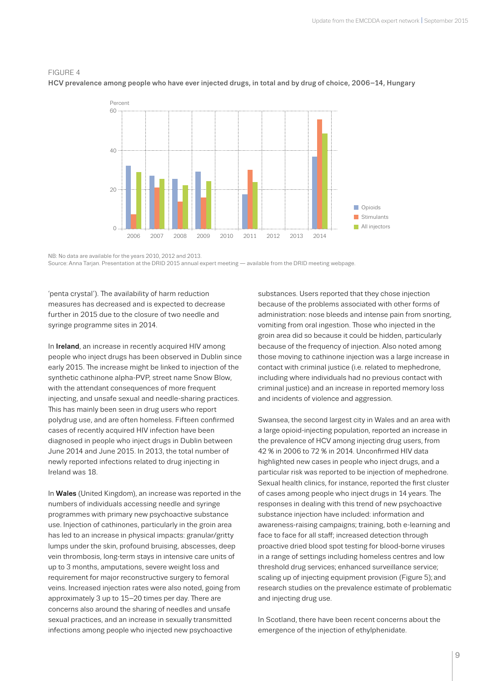

#### FIGURE 4

HCV prevalence among people who have ever injected drugs, in total and by drug of choice, 2006–14, Hungary

NB: No data are available for the years 2010, 2012 and 2013. Source: Anna Tarjan. Presentation at the DRID 2015 annual expert meeting — available from the DRID meeting [webpage.](http://www.emcdda.europa.eu/expert-meetings/2015/drd-drid)

'penta crystal'). The availability of harm reduction measures has decreased and is expected to decrease further in 2015 due to the closure of two needle and syringe programme sites in 2014.

In Ireland, an increase in recently acquired HIV among people who inject drugs has been observed in Dublin since early 2015. The increase might be linked to injection of the synthetic cathinone alpha-PVP, street name Snow Blow, with the attendant consequences of more frequent injecting, and unsafe sexual and needle-sharing practices. This has mainly been seen in drug users who report polydrug use, and are often homeless. Fifteen confirmed cases of recently acquired HIV infection have been diagnosed in people who inject drugs in Dublin between June 2014 and June 2015. In 2013, the total number of newly reported infections related to drug injecting in Ireland was 18.

In Wales (United Kingdom), an increase was reported in the numbers of individuals accessing needle and syringe programmes with primary new psychoactive substance use. Injection of cathinones, particularly in the groin area has led to an increase in physical impacts: granular/gritty lumps under the skin, profound bruising, abscesses, deep vein thrombosis, long-term stays in intensive care units of up to 3 months, amputations, severe weight loss and requirement for major reconstructive surgery to femoral veins. Increased injection rates were also noted, going from approximately 3 up to 15–20 times per day. There are concerns also around the sharing of needles and unsafe sexual practices, and an increase in sexually transmitted infections among people who injected new psychoactive

substances. Users reported that they chose injection because of the problems associated with other forms of administration: nose bleeds and intense pain from snorting, vomiting from oral ingestion. Those who injected in the groin area did so because it could be hidden, particularly because of the frequency of injection. Also noted among those moving to cathinone injection was a large increase in contact with criminal justice (i.e. related to mephedrone, including where individuals had no previous contact with criminal justice) and an increase in reported memory loss and incidents of violence and aggression.

Swansea, the second largest city in Wales and an area with a large opioid-injecting population, reported an increase in the prevalence of HCV among injecting drug users, from 42 % in 2006 to 72 % in 2014. Unconfirmed HIV data highlighted new cases in people who inject drugs, and a particular risk was reported to be injection of mephedrone. Sexual health clinics, for instance, reported the first cluster of cases among people who inject drugs in 14 years. The responses in dealing with this trend of new psychoactive substance injection have included: information and awareness-raising campaigns; training, both e-learning and face to face for all staff; increased detection through proactive dried blood spot testing for blood-borne viruses in a range of settings including homeless centres and low threshold drug services; enhanced surveillance service; scaling up of injecting equipment provision (Figure 5); and research studies on the prevalence estimate of problematic and injecting drug use.

In Scotland, there have been recent concerns about the emergence of the injection of ethylphenidate.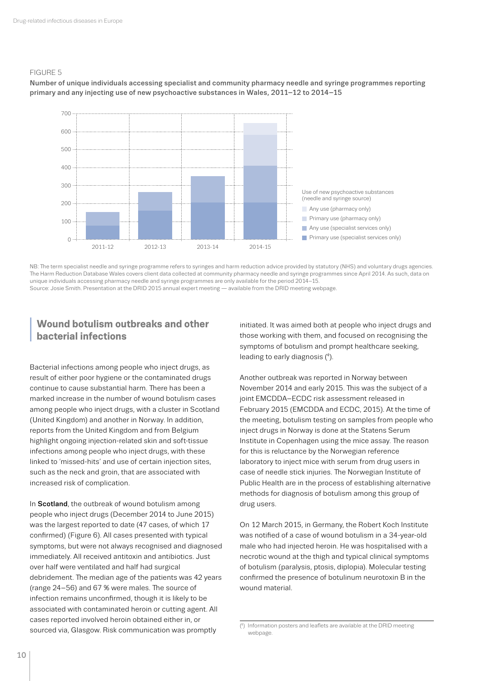#### <span id="page-9-0"></span>FIGURE 5



Number of unique individuals accessing specialist and community pharmacy needle and syringe programmes reporting primary and any injecting use of new psychoactive substances in Wales, 2011–12 to 2014–15

NB: The term specialist needle and syringe programme refers to syringes and harm reduction advice provided by statutory (NHS) and voluntary drugs agencies. The Harm Reduction Database Wales covers client data collected at community pharmacy needle and syringe programmes since April 2014. As such, data on unique individuals accessing pharmacy needle and syringe programmes are only available for the period 2014–15. Source: Josie Smith. Presentation at the DRID 2015 annual expert meeting — available from the DRID meeting [webpage.](http://www.emcdda.europa.eu/expert-meetings/2015/drd-drid)

## **<sup>I</sup> Wound botulism outbreaks and other bacterial infections**

Bacterial infections among people who inject drugs, as result of either poor hygiene or the contaminated drugs continue to cause substantial harm. There has been a marked increase in the number of wound botulism cases among people who inject drugs, with a cluster in Scotland (United Kingdom) and another in Norway. In addition, reports from the United Kingdom and from Belgium highlight ongoing injection-related skin and soft-tissue infections among people who inject drugs, with these linked to 'missed-hits' and use of certain injection sites, such as the neck and groin, that are associated with increased risk of complication.

In Scotland, the outbreak of wound botulism among people who inject drugs (December 2014 to June 2015) was the largest reported to date (47 cases, of which 17 confirmed) (Figure 6). All cases presented with typical symptoms, but were not always recognised and diagnosed immediately. All received antitoxin and antibiotics. Just over half were ventilated and half had surgical debridement. The median age of the patients was 42 years (range 24–56) and 67 % were males. The source of infection remains unconfirmed, though it is likely to be associated with contaminated heroin or cutting agent. All cases reported involved heroin obtained either in, or sourced via, Glasgow. Risk communication was promptly

initiated. It was aimed both at people who inject drugs and those working with them, and focused on recognising the symptoms of botulism and prompt healthcare seeking, leading to early diagnosis (4).

Another outbreak was reported in Norway between November 2014 and early 2015. This was the subject of a joint EMCDDA–ECDC risk assessment released in February 2015 (EMCDDA and ECDC, 2015). At the time of the meeting, botulism testing on samples from people who inject drugs in Norway is done at the Statens Serum Institute in Copenhagen using the mice assay. The reason for this is reluctance by the Norwegian reference laboratory to inject mice with serum from drug users in case of needle stick injuries. The Norwegian Institute of Public Health are in the process of establishing alternative methods for diagnosis of botulism among this group of drug users.

On 12 March 2015, in Germany, the Robert Koch Institute was notified of a case of wound botulism in a 34-year-old male who had injected heroin. He was hospitalised with a necrotic wound at the thigh and typical clinical symptoms of botulism (paralysis, ptosis, diplopia). Molecular testing confirmed the presence of botulinum neurotoxin B in the wound material.

<sup>(</sup> 4) Information posters and leaflets are available at the DRID meeting [webpage.](http://www.emcdda.europa.eu/expert-meetings/2015/drd-drid)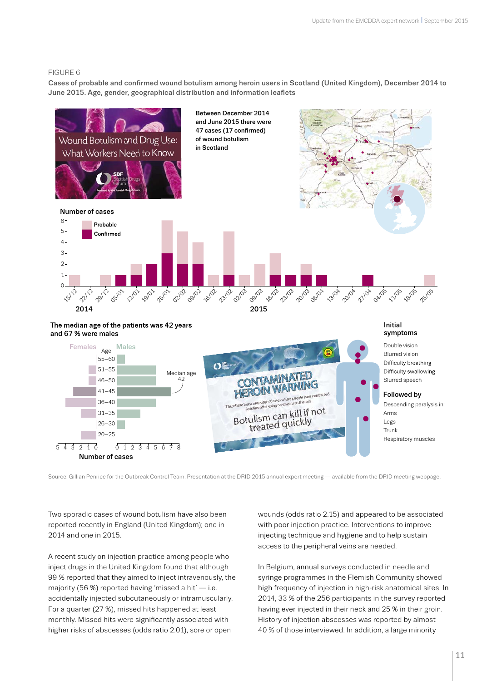#### FIGURE 6

Cases of probable and confirmed wound botulism among heroin users in Scotland (United Kingdom), December 2014 to June 2015. Age, gender, geographical distribution and information leaflets



Source: Gillian Penrice for the Outbreak Control Team. Presentation at the DRID 2015 annual expert meeting — available from the DRID meeting [webpage](http://www.emcdda.europa.eu/expert-meetings/2015/drd-drid).

Two sporadic cases of wound botulism have also been reported recently in England (United Kingdom); one in 2014 and one in 2015.

A recent study on injection practice among people who inject drugs in the United Kingdom found that although 99 % reported that they aimed to inject intravenously, the majority (56 %) reported having 'missed a hit' — i.e. accidentally injected subcutaneously or intramuscularly. For a quarter (27 %), missed hits happened at least monthly. Missed hits were significantly associated with higher risks of abscesses (odds ratio 2.01), sore or open

wounds (odds ratio 2.15) and appeared to be associated with poor injection practice. Interventions to improve injecting technique and hygiene and to help sustain access to the peripheral veins are needed.

In Belgium, annual surveys conducted in needle and syringe programmes in the Flemish Community showed high frequency of injection in high-risk anatomical sites. In 2014, 33 % of the 256 participants in the survey reported having ever injected in their neck and 25 % in their groin. History of injection abscesses was reported by almost 40 % of those interviewed. In addition, a large minority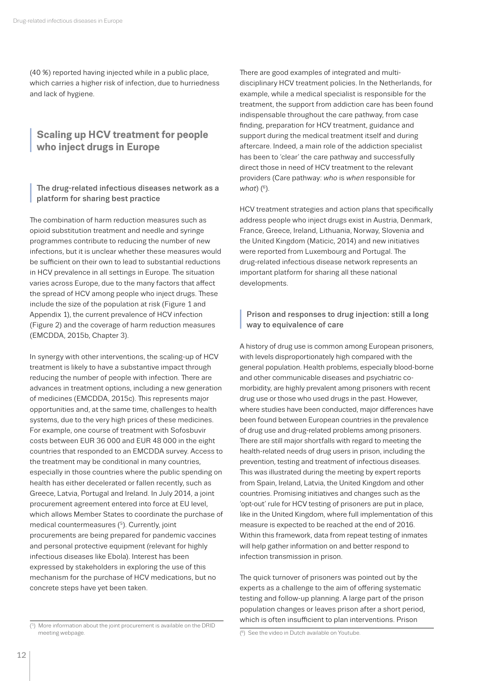<span id="page-11-0"></span>(40 %) reported having injected while in a public place, which carries a higher risk of infection, due to hurriedness and lack of hygiene.

## **<sup>I</sup> Scaling up HCV treatment for people who inject drugs in Europe**

**<sup>I</sup>** The drug-related infectious diseases network as a platform for sharing best practice

The combination of harm reduction measures such as opioid substitution treatment and needle and syringe programmes contribute to reducing the number of new infections, but it is unclear whether these measures would be sufficient on their own to lead to substantial reductions in HCV prevalence in all settings in Europe. The situation varies across Europe, due to the many factors that affect the spread of HCV among people who inject drugs. These include the size of the population at risk (Figure 1 and Appendix 1), the current prevalence of HCV infection (Figure 2) and the coverage of harm reduction measures (EMCDDA, 2015b, Chapter 3).

In synergy with other interventions, the scaling-up of HCV treatment is likely to have a substantive impact through reducing the number of people with infection. There are advances in treatment options, including a new generation of medicines (EMCDDA, 2015c). This represents major opportunities and, at the same time, challenges to health systems, due to the very high prices of these medicines. For example, one course of treatment with Sofosbuvir costs between EUR 36 000 and EUR 48 000 in the eight countries that responded to an EMCDDA survey. Access to the treatment may be conditional in many countries, especially in those countries where the public spending on health has either decelerated or fallen recently, such as Greece, Latvia, Portugal and Ireland. In July 2014, a joint procurement agreement entered into force at EU level, which allows Member States to coordinate the purchase of medical countermeasures (5). Currently, joint procurements are being prepared for pandemic vaccines and personal protective equipment (relevant for highly infectious diseases like Ebola). Interest has been expressed by stakeholders in exploring the use of this mechanism for the purchase of HCV medications, but no concrete steps have yet been taken.

There are good examples of integrated and multidisciplinary HCV treatment policies. In the Netherlands, for example, while a medical specialist is responsible for the treatment, the support from addiction care has been found indispensable throughout the care pathway, from case finding, preparation for HCV treatment, guidance and support during the medical treatment itself and during aftercare. Indeed, a main role of the addiction specialist has been to 'clear' the care pathway and successfully direct those in need of HCV treatment to the relevant providers (Care pathway: *who* is *when* responsible for *what*)  $(^{6})$ .

HCV treatment strategies and action plans that specifically address people who inject drugs exist in Austria, Denmark, France, Greece, Ireland, Lithuania, Norway, Slovenia and the United Kingdom (Maticic, 2014) and new initiatives were reported from Luxembourg and Portugal. The drug-related infectious disease network represents an important platform for sharing all these national developments.

## **<sup>I</sup>** Prison and responses to drug injection: still a long way to equivalence of care

A history of drug use is common among European prisoners, with levels disproportionately high compared with the general population. Health problems, especially blood-borne and other communicable diseases and psychiatric comorbidity, are highly prevalent among prisoners with recent drug use or those who used drugs in the past. However, where studies have been conducted, major differences have been found between European countries in the prevalence of drug use and drug-related problems among prisoners. There are still major shortfalls with regard to meeting the health-related needs of drug users in prison, including the prevention, testing and treatment of infectious diseases. This was illustrated during the meeting by expert reports from Spain, Ireland, Latvia, the United Kingdom and other countries. Promising initiatives and changes such as the 'opt-out' rule for HCV testing of prisoners are put in place, like in the United Kingdom, where full implementation of this measure is expected to be reached at the end of 2016. Within this framework, data from repeat testing of inmates will help gather information on and better respond to infection transmission in prison.

The quick turnover of prisoners was pointed out by the experts as a challenge to the aim of offering systematic testing and follow-up planning. A large part of the prison population changes or leaves prison after a short period, which is often insufficient to plan interventions. Prison

<sup>(5)</sup> More information about the joint procurement is available on the DRID meeting [webpage.](http://www.emcdda.europa.eu/expert-meetings/2015/drd-drid)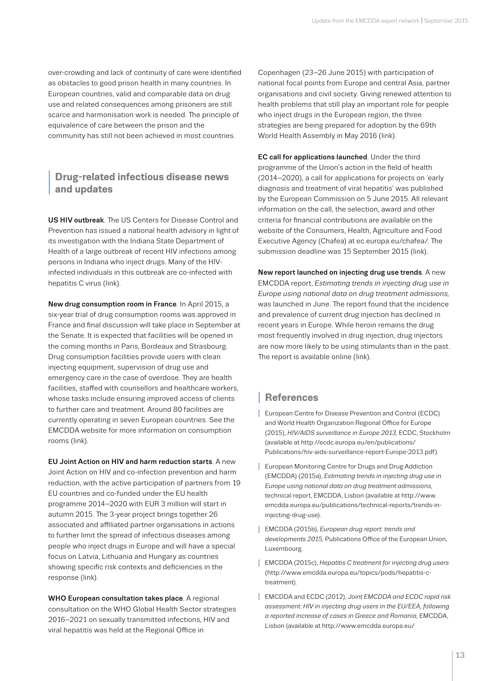<span id="page-12-0"></span>over-crowding and lack of continuity of care were identified as obstacles to good prison health in many countries. In European countries, valid and comparable data on drug use and related consequences among prisoners are still scarce and harmonisation work is needed. The principle of equivalence of care between the prison and the community has still not been achieved in most countries.

## **<sup>I</sup> Drug-related infectious disease news and updates**

US HIV outbreak. The US Centers for Disease Control and Prevention has issued a national health advisory in light of its investigation with the Indiana State Department of Health of a large outbreak of recent HIV infections among persons in Indiana who inject drugs. Many of the HIVinfected individuals in this outbreak are co-infected with hepatitis C virus (l[ink](http://www.ahcmedia.com/articles/135626-drug-related-hiv-outbreak-spurs-cdc-to-issue-nationwide-alert)).

New drug consumption room in France. In April 2015, a six-year trial of drug consumption rooms was approved in France and final discussion will take place in September at the Senate. It is expected that facilities will be opened in the coming months in Paris, Bordeaux and Strasbourg. Drug consumption facilities provide users with clean injecting equipment, supervision of drug use and emergency care in the case of overdose. They are health facilities, staffed with counsellors and healthcare workers, whose tasks include ensuring improved access of clients to further care and treatment. Around 80 facilities are currently operating in seven European countries. See the EMCDDA website for more information on consumption rooms ([link](http://www.emcdda.europa.eu/topics/pods/drug-consumption-rooms)).

EU Joint Action on HIV and harm reduction starts. A new Joint Action on HIV and co-infection prevention and harm reduction, with the active participation of partners from 19 EU countries and co-funded under the EU health programme 2014–2020 with EUR 3 million will start in autumn 2015. The 3-year project brings together 26 associated and affiliated partner organisations in actions to further limit the spread of infectious diseases among people who inject drugs in Europe and will have a special focus on Latvia, Lithuania and Hungary as countries showing specific risk contexts and deficiencies in the response ([link](http://ec.europa.eu/chafea/documents/health/tb-2015-react-ja_en.pdf)).

WHO European consultation takes place. A regional consultation on the WHO Global Health Sector strategies 2016–2021 on sexually transmitted infections, HIV and viral hepatitis was held at the Regional Office in

Copenhagen (23–26 June 2015) with participation of national focal points from Europe and central Asia, partner organisations and civil society. Giving renewed attention to health problems that still play an important role for people who inject drugs in the European region, the three strategies are being prepared for adoption by the 69th World Health Assembly in May 2016 ([link\)](http://www.euro.who.int/en/media-centre/events/events/2015/06/regional-consultation-on-who-health-sector-strategies-for-hiv,-viral-hepatitis-and-sexually-transmitted-infections-stis).

EC call for applications launched. Under the third programme of the Union's action in the field of health (2014–2020), a call for applications for projects on 'early diagnosis and treatment of viral hepatitis' was published by the European Commission on 5 June 2015. All relevant information on the call, the selection, award and other criteria for financial contributions are available on the website of the Consumers, Health, Agriculture and Food Executive Agency (Chafea) at ec.europa.eu/chafea/. [The](http://eur-lex.europa.eu/legal-content/EN/TXT/?uri=OJ:JOC_2015_186_R_0004)  [submission deadline was 15 September 2015](http://eur-lex.europa.eu/legal-content/EN/TXT/?uri=OJ:JOC_2015_186_R_0004) [\(link](http://ec.europa.eu/health/programme/events/adoption_workplan_2015_en.htm)).

New report launched on injecting drug use trends. A new EMCDDA report, *Estimating trends in injecting drug use in Europe using national data on drug treatment admissions,* was launched in June. The report found that the incidence and prevalence of current drug injection has declined in recent years in Europe. While heroin remains the drug most frequently involved in drug injection, drug injectors are now more likely to be using stimulants than in the past. The report is available online ([link](http://www.emcdda.europa.eu/publications/technical-reports/trends-in-injecting-drug-use)).

# **<sup>I</sup> References**

- **I** European Centre for Disease Prevention and Control (ECDC) and World Health Organization Regional Office for Europe (2015), *HIV/AIDS surveillance in Europe 2013,* ECDC, Stockholm (available at [http://ecdc.europa.eu/en/publications/](http://ecdc.europa.eu/en/publications/Publications/hiv-aids-surveillance-report-Europe-2013.pdf) [Publications/hiv-aids-surveillance-report-Europe-2013.pdf](http://ecdc.europa.eu/en/publications/Publications/hiv-aids-surveillance-report-Europe-2013.pdf)).
- **I** European Monitoring Centre for Drugs and Drug Addiction (EMCDDA) (2015a), *Estimating trends in injecting drug use in Europe using national data on drug treatment admissions*, technical report, EMCDDA, Lisbon (available at [http://www.](http://www.emcdda.europa.eu/publications/technical-reports/trends-in-injecting-drug-use) [emcdda.europa.eu/publications/technical-reports/trends-in](http://www.emcdda.europa.eu/publications/technical-reports/trends-in-injecting-drug-use)[injecting-drug-use\)](http://www.emcdda.europa.eu/publications/technical-reports/trends-in-injecting-drug-use).
- **I** EMCDDA (2015b), *European drug report: trends and developments 2015,* Publications Office of the European Union, Luxembourg.
- **I** EMCDDA (2015c), *Hepatitis C treatment for injecting drug users* [\(http://www.emcdda.europa.eu/topics/pods/hepatitis-c](http://www.emcdda.europa.eu/topics/pods/hepatitis-c-treatment)[treatment\)](http://www.emcdda.europa.eu/topics/pods/hepatitis-c-treatment).
- **I** EMCDDA and ECDC (2012), *Joint EMCDDA and ECDC rapid risk assessment: HIV in injecting drug users in the EU/EEA, following a reported increase of cases in Greece and Romania*, EMCDDA, Lisbon (available at [http://www.emcdda.europa.eu/](http://www.emcdda.europa.eu/publications/joint-publications/hiv-in-injecting-drug-users-2011)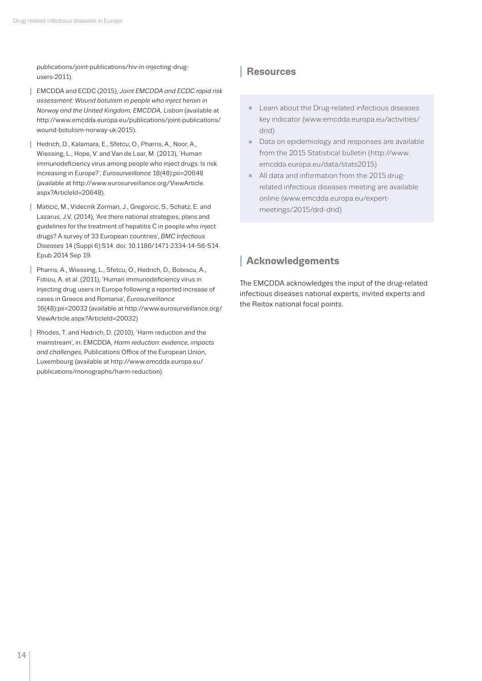<span id="page-13-0"></span>[publications/joint-publications/hiv-in-injecting-drug](http://www.emcdda.europa.eu/publications/joint-publications/hiv-in-injecting-drug-users-2011)[users-2011](http://www.emcdda.europa.eu/publications/joint-publications/hiv-in-injecting-drug-users-2011)).

- **I** EMCDDA and ECDC (2015), *Joint EMCDDA and ECDC rapid risk assessment: Wound botulism in people who inject heroin in Norway and the United Kingdom, EMCDDA, Lisbon* (available at [http://www.emcdda.europa.eu/publications/joint-publications/](http://www.emcdda.europa.eu/publications/joint-publications/wound-botulism-norway-uk-2015) [wound-botulism-norway-uk-2015](http://www.emcdda.europa.eu/publications/joint-publications/wound-botulism-norway-uk-2015)).
- **I** Hedrich, D., Kalamara, E., Sfetcu, O., Pharris, A., Noor, A., Wiessing, L., Hope, V. and Van de Laar, M. (2013), 'Human immunodeficiency virus among people who inject drugs: Is risk increasing in Europe?'*, Eurosurveillance* 18(48):pii=20648 (available at [http://www.eurosurveillance.org/ViewArticle.](http://www.eurosurveillance.org/ViewArticle.aspx?ArticleId=20648) [aspx?ArticleId=20648](http://www.eurosurveillance.org/ViewArticle.aspx?ArticleId=20648)).
- **I** Maticic, M., Videcnik Zorman, J., Gregorcic, S., Schatz, E. and Lazarus, J.V. (2014), 'Are there national strategies, plans and guidelines for the treatment of hepatitis C in people who inject drugs? A survey of 33 European countries', *BMC Infectious Diseases* 14 (Suppl 6):S14. doi: 10.1186/1471-2334-14-S6-S14. Epub 2014 Sep 19.
- Pharris, A., Wiessing, L., Sfetcu, O., Hedrich, D., Botescu, A., Fotiou, A. et al. (2011), 'Human immunodeficiency virus in injecting drug users in Europe following a reported increase of cases in Greece and Romania', *Eurosurveillance*  16(48):pii=20032 (available at [http://www.eurosurveillance.org/](http://www.eurosurveillance.org/ViewArticle.aspx?ArticleId=20032) [ViewArticle.aspx?ArticleId=20032\)](http://www.eurosurveillance.org/ViewArticle.aspx?ArticleId=20032)
- **I** Rhodes, T. and Hedrich, D. (2010), 'Harm reduction and the mainstream', in: EMCDDA, *Harm reduction: evidence, impacts and challenges,* Publications Office of the European Union, Luxembourg (available at [http://www.emcdda.europa.eu/](http://www.emcdda.europa.eu/publications/monographs/harm-reduction) [publications/monographs/harm-reduction](http://www.emcdda.europa.eu/publications/monographs/harm-reduction)).

## **<sup>I</sup> Resources**

- Learn about the Drug-related infectious diseases key indicator [\(www.emcdda.europa.eu/activities/](file:///\\home1\faype$\_data\_ecoms\2015\short-reports\drid2015\www.emcdda.europa.eu\activities\drid) [drid](file:///\\home1\faype$\_data\_ecoms\2015\short-reports\drid2015\www.emcdda.europa.eu\activities\drid))
- Data on epidemiology and responses are available from the 2015 Statistical bulletin ([http://www.](http://www.emcdda.europa.eu/data/stats2015) [emcdda.europa.eu/data/stats2015\)](http://www.emcdda.europa.eu/data/stats2015)
- All data and information from the 2015 drugrelated infectious diseases meeting are available online (www.emcdda.europa.eu/expertmeetings/2015/drd-drid)

# **<sup>I</sup> Acknowledgements**

The EMCDDA acknowledges the input of the drug-related infectious diseases national experts, invited experts and the Reitox national focal points.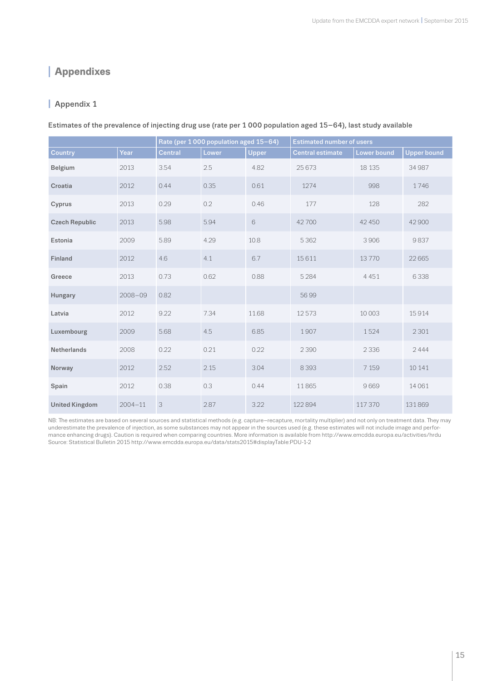# <span id="page-14-0"></span>**<sup>I</sup> Appendixes**

## **I** Appendix 1

Estimates of the prevalence of injecting drug use (rate per 1 000 population aged 15–64), last study available

|                       |             | Rate (per 1000 population aged 15-64) |       |              | <b>Estimated number of users</b> |             |                    |
|-----------------------|-------------|---------------------------------------|-------|--------------|----------------------------------|-------------|--------------------|
| <b>Country</b>        | Year        | <b>Central</b>                        | Lower | <b>Upper</b> | <b>Central estimate</b>          | Lower bound | <b>Upper bound</b> |
| <b>Belgium</b>        | 2013        | 3.54                                  | 2.5   | 4.82         | 25 673                           | 18 135      | 34 987             |
| Croatia               | 2012        | 0.44                                  | 0.35  | 0.61         | 1274                             | 998         | 1746               |
| Cyprus                | 2013        | 0.29                                  | 0.2   | 0.46         | 177                              | 128         | 282                |
| <b>Czech Republic</b> | 2013        | 5.98                                  | 5.94  | 6            | 42700                            | 42 450      | 42 900             |
| Estonia               | 2009        | 5.89                                  | 4.29  | 10.8         | 5 3 6 2                          | 3906        | 9837               |
| Finland               | 2012        | 4.6                                   | 4.1   | 6.7          | 15611                            | 13770       | 22 665             |
| Greece                | 2013        | 0.73                                  | 0.62  | 0.88         | 5 2 8 4                          | 4 4 5 1     | 6338               |
| Hungary               | $2008 - 09$ | 0.82                                  |       |              | 5699                             |             |                    |
| Latvia                | 2012        | 9.22                                  | 7.34  | 11.68        | 12573                            | 10 003      | 15914              |
| Luxembourg            | 2009        | 5.68                                  | 4.5   | 6.85         | 1907                             | 1524        | 2 3 0 1            |
| <b>Netherlands</b>    | 2008        | 0.22                                  | 0.21  | 0.22         | 2 3 9 0                          | 2 3 3 6     | 2444               |
| Norway                | 2012        | 2.52                                  | 2.15  | 3.04         | 8 3 9 3                          | 7 1 5 9     | 10 14 1            |
| Spain                 | 2012        | 0.38                                  | 0.3   | 0.44         | 11865                            | 9669        | 14 06 1            |
| <b>United Kingdom</b> | $2004 - 11$ | $\ensuremath{\mathsf{3}}$             | 2.87  | 3.22         | 122894                           | 117 370     | 131869             |

NB: The estimates are based on several sources and statistical methods (e.g. capture–recapture, mortality multiplier) and not only on treatment data. They may underestimate the prevalence of injection, as some substances may not appear in the sources used (e.g. these estimates will not include image and performance enhancing drugs). Caution is required when comparing countries. More information is available from <http://www.emcdda.europa.eu/activities/hrdu> Source: Statistical Bulletin 2015 http://www.emcdda.europa.eu/data/stats2015#displayTable:PDU-1-2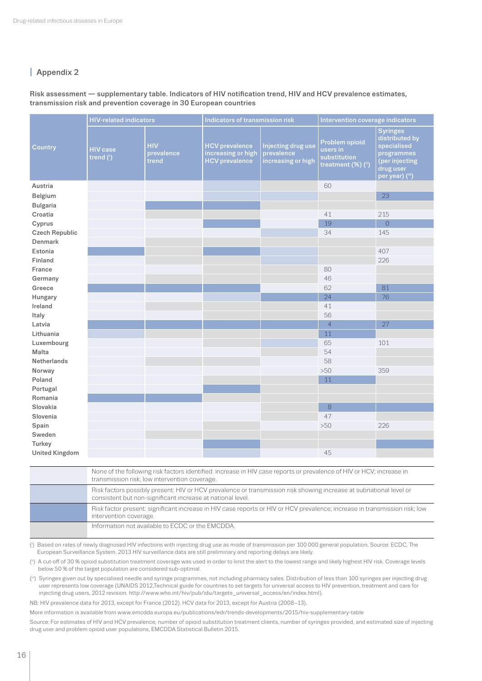## **I** Appendix 2

#### Risk assessment — supplementary table. Indicators of HIV notification trend, HIV and HCV prevalence estimates, transmission risk and prevention coverage in 30 European countries

|                       | <b>HIV-related indicators</b> |                                   | Indicators of transmission risk                                      |                                                        | Intervention coverage indicators                                 |                                                                                                                  |
|-----------------------|-------------------------------|-----------------------------------|----------------------------------------------------------------------|--------------------------------------------------------|------------------------------------------------------------------|------------------------------------------------------------------------------------------------------------------|
| Country               | <b>HIV</b> case<br>trend (i)  | <b>HIV</b><br>prevalence<br>trend | <b>HCV</b> prevalence<br>increasing or high<br><b>HCV</b> prevalence | Injecting drug use<br>prevalence<br>increasing or high | Problem opioid<br>users in<br>substitution<br>treatment (%) (ii) | <b>Syringes</b><br>distributed by<br>specialised<br>programmes<br>(per injecting<br>drug user<br>per year) (iii) |
| Austria               |                               |                                   |                                                                      |                                                        | 60                                                               |                                                                                                                  |
| Belgium               |                               |                                   |                                                                      |                                                        |                                                                  | 23                                                                                                               |
| <b>Bulgaria</b>       |                               |                                   |                                                                      |                                                        |                                                                  |                                                                                                                  |
| Croatia               |                               |                                   |                                                                      |                                                        | 41                                                               | 215                                                                                                              |
| Cyprus                |                               |                                   |                                                                      |                                                        | 19                                                               | $\overline{0}$                                                                                                   |
| <b>Czech Republic</b> |                               |                                   |                                                                      |                                                        | 34                                                               | 145                                                                                                              |
| Denmark               |                               |                                   |                                                                      |                                                        |                                                                  |                                                                                                                  |
| Estonia               |                               |                                   |                                                                      |                                                        |                                                                  | 407                                                                                                              |
| Finland               |                               |                                   |                                                                      |                                                        |                                                                  | 226                                                                                                              |
| France                |                               |                                   |                                                                      |                                                        | 80                                                               |                                                                                                                  |
| Germany               |                               |                                   |                                                                      |                                                        | 46                                                               |                                                                                                                  |
| Greece                |                               |                                   |                                                                      |                                                        | 62                                                               | 81                                                                                                               |
| Hungary               |                               |                                   |                                                                      |                                                        | 24                                                               | 76                                                                                                               |
| Ireland               |                               |                                   |                                                                      |                                                        | 41                                                               |                                                                                                                  |
| Italy                 |                               |                                   |                                                                      |                                                        | 56                                                               |                                                                                                                  |
| Latvia                |                               |                                   |                                                                      |                                                        | $\overline{4}$                                                   | 27                                                                                                               |
| Lithuania             |                               |                                   |                                                                      |                                                        | 11                                                               |                                                                                                                  |
| Luxembourg            |                               |                                   |                                                                      |                                                        | 65                                                               | 101                                                                                                              |
| Malta                 |                               |                                   |                                                                      |                                                        | 54                                                               |                                                                                                                  |
| <b>Netherlands</b>    |                               |                                   |                                                                      |                                                        | 58                                                               |                                                                                                                  |
| Norway                |                               |                                   |                                                                      |                                                        | >50                                                              | 359                                                                                                              |
| Poland                |                               |                                   |                                                                      |                                                        | 11                                                               |                                                                                                                  |
| Portugal              |                               |                                   |                                                                      |                                                        |                                                                  |                                                                                                                  |
| Romania               |                               |                                   |                                                                      |                                                        |                                                                  |                                                                                                                  |
| Slovakia              |                               |                                   |                                                                      |                                                        | 8                                                                |                                                                                                                  |
| Slovenia              |                               |                                   |                                                                      |                                                        | 47                                                               |                                                                                                                  |
| Spain                 |                               |                                   |                                                                      |                                                        | >50                                                              | 226                                                                                                              |
| Sweden                |                               |                                   |                                                                      |                                                        |                                                                  |                                                                                                                  |
| Turkey                |                               |                                   |                                                                      |                                                        |                                                                  |                                                                                                                  |
| <b>United Kingdom</b> |                               |                                   |                                                                      |                                                        | 45                                                               |                                                                                                                  |

| None of the following risk factors identified: increase in HIV case reports or prevalence of HIV or HCV; increase in<br>transmission risk; low intervention coverage.            |
|----------------------------------------------------------------------------------------------------------------------------------------------------------------------------------|
| Risk factors possibly present: HIV or HCV prevalence or transmission risk showing increase at subnational level or<br>consistent but non-significant increase at national level. |
| Risk factor present: significant increase in HIV case reports or HIV or HCV prevalence; increase in transmission risk; low<br>intervention coverage.                             |
| Information not available to ECDC or the EMCDDA.                                                                                                                                 |

(i ) Based on rates of newly diagnosed HIV infections with injecting drug use as mode of transmission per 100 000 general population. Source: ECDC, The European Surveillance System. 2013 HIV surveillance data are still preliminary and reporting delays are likely.

(ii) A cut-off of 30 % opioid substitution treatment coverage was used in order to limit the alert to the lowest range and likely highest HIV risk. Coverage levels below 50 % of the target population are considered sub-optimal.

(iii) Syringes given out by specialised needle and syringe programmes, not including pharmacy sales. Distribution of less than 100 syringes per injecting drug user represents low coverage (UNAIDS 2012,Technical guide for countries to set targets for universal access to HIV prevention, treatment and care for injecting drug users, 2012 revision. [http://www.who.int/hiv/pub/idu/targets\\_universal\\_access/en/index.html\)](http://www.who.int/hiv/pub/idu/targets_universal_access/en/index.html).

NB: HIV prevalence data for 2013, except for France (2012). HCV data for 2013, except for Austria (2008–13).

More information is available from [www.emcdda.europa.eu/publications/edr/trends-developments/2015/hiv-supplementary-table](http://www.emcdda.europa.eu/publications/edr/trends-developments/2015/hiv-supplementary-table)

Source: For estimates of HIV and HCV prevalence, number of opioid substitution treatment clients, number of syringes provided, and estimated size of injecting drug user and problem opioid user populations, EMCDDA Statistical Bulletin 2015.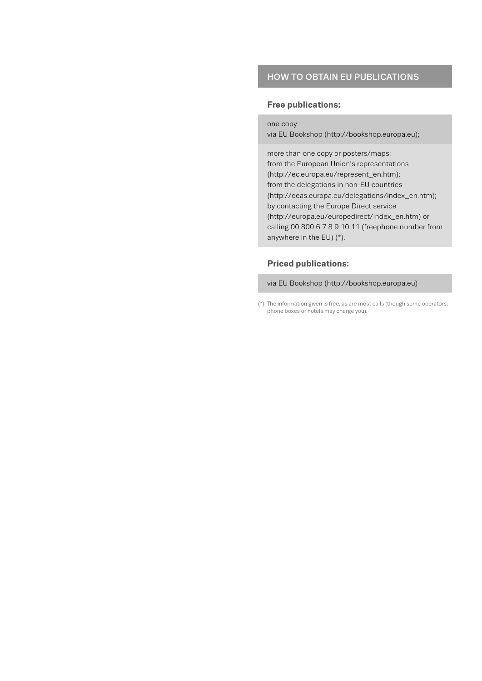## HOW TO OBTAIN EU PUBLICATIONS

#### **Free publications:**

one copy:

via EU Bookshop (http://bookshop.europa.eu);

more than one copy or posters/maps: from the European Union's representations (http://ec.europa.eu/represent\_en.htm); from the delegations in non-EU countries (http://eeas.europa.eu/delegations/index\_en.htm); by contacting the Europe Direct service (http://europa.eu/europedirect/index\_en.htm) or calling 00 800 6 7 8 9 10 11 (freephone number from anywhere in the EU) (\*).

### **Priced publications:**

via EU Bookshop (http://bookshop.europa.eu)

<sup>(\*)</sup> The information given is free, as are most calls (though some operators, phone boxes or hotels may charge you).